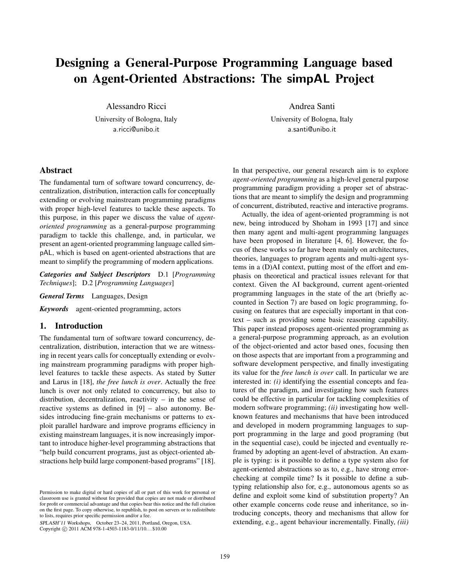# Designing a General-Purpose Programming Language based on Agent-Oriented Abstractions: The simpAL Project

Alessandro Ricci

University of Bologna, Italy a.ricci@unibo.it

Andrea Santi

University of Bologna, Italy a.santi@unibo.it

## Abstract

The fundamental turn of software toward concurrency, decentralization, distribution, interaction calls for conceptually extending or evolving mainstream programming paradigms with proper high-level features to tackle these aspects. To this purpose, in this paper we discuss the value of *agentoriented programming* as a general-purpose programming paradigm to tackle this challenge, and, in particular, we present an agent-oriented programming language called simpAL, which is based on agent-oriented abstractions that are meant to simplify the programming of modern applications.

*Categories and Subject Descriptors* D.1 [*Programming Techniques*]; D.2 [*Programming Languages*]

*General Terms* Languages, Design

*Keywords* agent-oriented programming, actors

# 1. Introduction

The fundamental turn of software toward concurrency, decentralization, distribution, interaction that we are witnessing in recent years calls for conceptually extending or evolving mainstream programming paradigms with proper highlevel features to tackle these aspects. As stated by Sutter and Larus in [18], *the free lunch is over*. Actually the free lunch is over not only related to concurrency, but also to distribution, decentralization, reactivity – in the sense of reactive systems as defined in [9] – also autonomy. Besides introducing fine-grain mechanisms or patterns to exploit parallel hardware and improve programs efficiency in existing mainstream languages, it is now increasingly important to introduce higher-level programming abstractions that "help build concurrent programs, just as object-oriented abstractions help build large component-based programs" [18].

SPLASH'11 Workshops, October 23–24, 2011, Portland, Oregon, USA. Copyright © 2011 ACM 978-1-4503-1183-0/11/10... \$10.00

In that perspective, our general research aim is to explore *agent-oriented programming* as a high-level general purpose programming paradigm providing a proper set of abstractions that are meant to simplify the design and programming of concurrent, distributed, reactive and interactive programs.

Actually, the idea of agent-oriented programming is not new, being introduced by Shoham in 1993 [17] and since then many agent and multi-agent programming languages have been proposed in literature [4, 6]. However, the focus of these works so far have been mainly on architectures, theories, languages to program agents and multi-agent systems in a (D)AI context, putting most of the effort and emphasis on theoretical and practical issues relevant for that context. Given the AI background, current agent-oriented programming languages in the state of the art (briefly accounted in Section 7) are based on logic programming, focusing on features that are especially important in that context – such as providing some basic reasoning capability. This paper instead proposes agent-oriented programming as a general-purpose programming approach, as an evolution of the object-oriented and actor based ones, focusing then on those aspects that are important from a programming and software development perspective, and finally investigating its value for the *free lunch is over* call. In particular we are interested in: *(i)* identifying the essential concepts and features of the paradigm, and investigating how such features could be effective in particular for tackling complexities of modern software programming; *(ii)* investigating how wellknown features and mechanisms that have been introduced and developed in modern programming languages to support programming in the large and good programing (but in the sequential case), could be injected and eventually reframed by adopting an agent-level of abstraction. An example is typing: is it possible to define a type system also for agent-oriented abstractions so as to, e.g., have strong errorchecking at compile time? Is it possible to define a subtyping relationship also for, e.g., autonomous agents so as define and exploit some kind of substitution property? An other example concerns code reuse and inheritance, so introducing concepts, theory and mechanisms that allow for extending, e.g., agent behaviour incrementally. Finally, *(iii)*

Permission to make digital or hard copies of all or part of this work for personal or classroom use is granted without fee provided that copies are not made or distributed for profit or commercial advantage and that copies bear this notice and the full citation on the first page. To copy otherwise, to republish, to post on servers or to redistribute to lists, requires prior specific permission and/or a fee.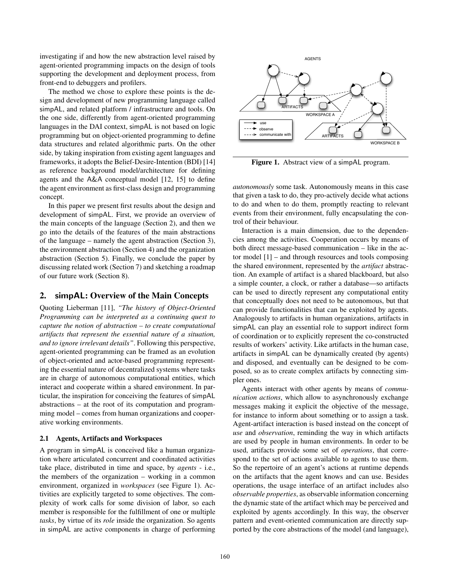investigating if and how the new abstraction level raised by agent-oriented programming impacts on the design of tools supporting the development and deployment process, from front-end to debuggers and profilers.

The method we chose to explore these points is the design and development of new programming language called simpAL, and related platform / infrastructure and tools. On the one side, differently from agent-oriented programming languages in the DAI context, simpAL is not based on logic programming but on object-oriented programming to define data structures and related algorithmic parts. On the other side, by taking inspiration from existing agent languages and frameworks, it adopts the Belief-Desire-Intention (BDI) [14] as reference background model/architecture for defining agents and the A&A conceptual model [12, 15] to define the agent environment as first-class design and programming concept.

In this paper we present first results about the design and development of simpAL. First, we provide an overview of the main concepts of the language (Section 2), and then we go into the details of the features of the main abstractions of the language – namely the agent abstraction (Section 3), the environment abstraction (Section 4) and the organization abstraction (Section 5). Finally, we conclude the paper by discussing related work (Section 7) and sketching a roadmap of our future work (Section 8).

## 2. simpAL: Overview of the Main Concepts

Quoting Lieberman [11], *"The history of Object-Oriented Programming can be interpreted as a continuing quest to capture the notion of abstraction – to create computational artifacts that represent the essential nature of a situation, and to ignore irrelevant details"*. Following this perspective, agent-oriented programming can be framed as an evolution of object-oriented and actor-based programming representing the essential nature of decentralized systems where tasks are in charge of autonomous computational entities, which interact and cooperate within a shared environment. In particular, the inspiration for conceiving the features of simpAL abstractions – at the root of its computation and programming model – comes from human organizations and cooperative working environments.

## 2.1 Agents, Artifacts and Workspaces

A program in simpAL is conceived like a human organization where articulated concurrent and coordinated activities take place, distributed in time and space, by *agents* - i.e., the members of the organization – working in a common environment, organized in *workspaces* (see Figure 1). Activities are explicitly targeted to some objectives. The complexity of work calls for some division of labor, so each member is responsible for the fulfillment of one or multiple *tasks*, by virtue of its *role* inside the organization. So agents in simpAL are active components in charge of performing



Figure 1. Abstract view of a simpAL program.

*autonomously* some task. Autonomously means in this case that given a task to do, they pro-actively decide what actions to do and when to do them, promptly reacting to relevant events from their environment, fully encapsulating the control of their behaviour.

Interaction is a main dimension, due to the dependencies among the activities. Cooperation occurs by means of both direct message-based communication – like in the actor model [1] – and through resources and tools composing the shared environment, represented by the *artifact* abstraction. An example of artifact is a shared blackboard, but also a simple counter, a clock, or rather a database—so artifacts can be used to directly represent any computational entity that conceptually does not need to be autonomous, but that can provide functionalities that can be exploited by agents. Analogously to artifacts in human organizations, artifacts in simpAL can play an essential role to support indirect form of coordination or to explicitly represent the co-constructed results of workers' activity. Like artifacts in the human case, artifacts in simpAL can be dynamically created (by agents) and disposed, and eventually can be designed to be composed, so as to create complex artifacts by connecting simpler ones.

Agents interact with other agents by means of *communication actions*, which allow to asynchronously exchange messages making it explicit the objective of the message, for instance to inform about something or to assign a task. Agent-artifact interaction is based instead on the concept of *use* and *observation*, reminding the way in which artifacts are used by people in human environments. In order to be used, artifacts provide some set of *operations*, that correspond to the set of actions available to agents to use them. So the repertoire of an agent's actions at runtime depends on the artifacts that the agent knows and can use. Besides operations, the usage interface of an artifact includes also *observable properties*, as observable information concerning the dynamic state of the artifact which may be perceived and exploited by agents accordingly. In this way, the observer pattern and event-oriented communication are directly supported by the core abstractions of the model (and language),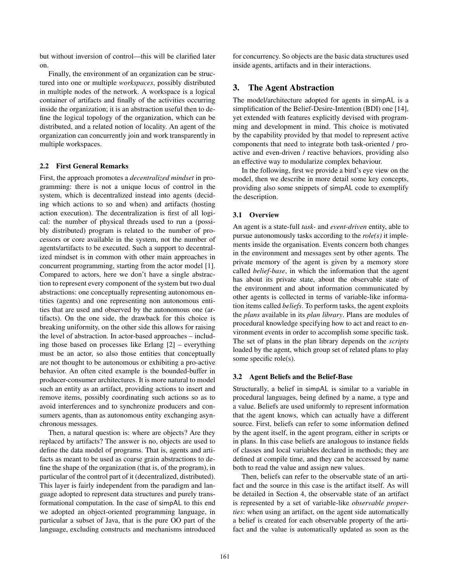but without inversion of control—this will be clarified later on.

Finally, the environment of an organization can be structured into one or multiple *workspaces*, possibly distributed in multiple nodes of the network. A workspace is a logical container of artifacts and finally of the activities occurring inside the organization; it is an abstraction useful then to define the logical topology of the organization, which can be distributed, and a related notion of locality. An agent of the organization can concurrently join and work transparently in multiple workspaces.

#### 2.2 First General Remarks

First, the approach promotes a *decentralized mindset* in programming: there is not a unique locus of control in the system, which is decentralized instead into agents (deciding which actions to so and when) and artifacts (hosting action execution). The decentralization is first of all logical: the number of physical threads used to run a (possibly distributed) program is related to the number of processors or core available in the system, not the number of agents/artifacts to be executed. Such a support to decentralized mindset is in common with other main approaches in concurrent programming, starting from the actor model [1]. Compared to actors, here we don't have a single abstraction to represent every component of the system but two dual abstractions: one conceptually representing autonomous entities (agents) and one representing non autonomous entities that are used and observed by the autonomous one (artifacts). On the one side, the drawback for this choice is breaking uniformity, on the other side this allows for raising the level of abstraction. In actor-based approaches – including those based on processes like Erlang [2] – everything must be an actor, so also those entities that conceptually are not thought to be autonomous or exhibiting a pro-active behavior. An often cited example is the bounded-buffer in producer-consumer architectures. It is more natural to model such an entity as an artifact, providing actions to insert and remove items, possibly coordinating such actions so as to avoid interferences and to synchronize producers and consumers agents, than as autonomous entity exchanging asynchronous messages.

Then, a natural question is: where are objects? Are they replaced by artifacts? The answer is no, objects are used to define the data model of programs. That is, agents and artifacts as meant to be used as coarse grain abstractions to define the shape of the organization (that is, of the program), in particular of the control part of it (decentralized, distributed). This layer is fairly independent from the paradigm and language adopted to represent data structures and purely transformational computation. In the case of simpAL to this end we adopted an object-oriented programming language, in particular a subset of Java, that is the pure OO part of the language, excluding constructs and mechanisms introduced for concurrency. So objects are the basic data structures used inside agents, artifacts and in their interactions.

## 3. The Agent Abstraction

The model/architecture adopted for agents in simpAL is a simplification of the Belief-Desire-Intention (BDI) one [14], yet extended with features explicitly devised with programming and development in mind. This choice is motivated by the capability provided by that model to represent active components that need to integrate both task-oriented / proactive and even-driven / reactive behaviors, providing also an effective way to modularize complex behaviour.

In the following, first we provide a bird's eye view on the model, then we describe in more detail some key concepts, providing also some snippets of simpAL code to exemplify the description.

#### 3.1 Overview

An agent is a state-full *task-* and *event-driven* entity, able to pursue autonomously tasks according to the *role(s)* it implements inside the organisation. Events concern both changes in the environment and messages sent by other agents. The private memory of the agent is given by a memory store called *belief-base*, in which the information that the agent has about its private state, about the observable state of the environment and about information communicated by other agents is collected in terms of variable-like information items called *beliefs*. To perform tasks, the agent exploits the *plans* available in its *plan library*. Plans are modules of procedural knowledge specifying how to act and react to environment events in order to accomplish some specific task. The set of plans in the plan library depends on the *scripts* loaded by the agent, which group set of related plans to play some specific role(s).

#### 3.2 Agent Beliefs and the Belief-Base

Structurally, a belief in simpAL is similar to a variable in procedural languages, being defined by a name, a type and a value. Beliefs are used uniformly to represent information that the agent knows, which can actually have a different source. First, beliefs can refer to some information defined by the agent itself, in the agent program, either in scripts or in plans. In this case beliefs are analogous to instance fields of classes and local variables declared in methods; they are defined at compile time, and they can be accessed by name both to read the value and assign new values.

Then, beliefs can refer to the observable state of an artifact and the source in this case is the artifact itself. As will be detailed in Section 4, the observable state of an artifact is represented by a set of variable-like *observable properties*: when using an artifact, on the agent side automatically a belief is created for each observable property of the artifact and the value is automatically updated as soon as the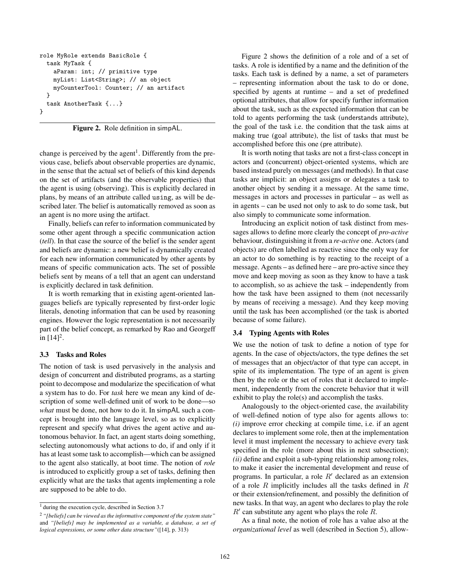```
role MyRole extends BasicRole {
 task MyTask {
    aParam: int; // primitive type
    myList: List<String>; // an object
    myCounterTool: Counter; // an artifact
 }
  task AnotherTask {...}
}
```
Figure 2. Role definition in simpAL.

change is perceived by the agent<sup>1</sup>. Differently from the previous case, beliefs about observable properties are dynamic, in the sense that the actual set of beliefs of this kind depends on the set of artifacts (and the observable properties) that the agent is using (observing). This is explicitly declared in plans, by means of an attribute called using, as will be described later. The belief is automatically removed as soon as an agent is no more using the artifact.

Finally, beliefs can refer to information communicated by some other agent through a specific communication action (*tell*). In that case the source of the belief is the sender agent and beliefs are dynamic: a new belief is dynamically created for each new information communicated by other agents by means of specific communication acts. The set of possible beliefs sent by means of a tell that an agent can understand is explicitly declared in task definition.

It is worth remarking that in existing agent-oriented languages beliefs are typically represented by first-order logic literals, denoting information that can be used by reasoning engines. However the logic representation is not necessarily part of the belief concept, as remarked by Rao and Georgeff in  $[14]^2$ .

#### 3.3 Tasks and Roles

The notion of task is used pervasively in the analysis and design of concurrent and distributed programs, as a starting point to decompose and modularize the specification of what a system has to do. For *task* here we mean any kind of description of some well-defined unit of work to be done—so *what* must be done, not how to do it. In simpAL such a concept is brought into the language level, so as to explicitly represent and specify what drives the agent active and autonomous behavior. In fact, an agent starts doing something, selecting autonomously what actions to do, if and only if it has at least some task to accomplish—which can be assigned to the agent also statically, at boot time. The notion of *role* is introduced to explicitly group a set of tasks, defining then explicitly what are the tasks that agents implementing a role are supposed to be able to do.

Figure 2 shows the definition of a role and of a set of tasks. A role is identified by a name and the definition of the tasks. Each task is defined by a name, a set of parameters – representing information about the task to do or done, specified by agents at runtime – and a set of predefined optional attributes, that allow for specify further information about the task, such as the expected information that can be told to agents performing the task (understands attribute), the goal of the task i.e. the condition that the task aims at making true (goal attribute), the list of tasks that must be accomplished before this one (pre attribute).

It is worth noting that tasks are not a first-class concept in actors and (concurrent) object-oriented systems, which are based instead purely on messages (and methods). In that case tasks are implicit: an object assigns or delegates a task to another object by sending it a message. At the same time, messages in actors and processes in particular – as well as in agents – can be used not only to ask to do some task, but also simply to communicate some information.

Introducing an explicit notion of task distinct from messages allows to define more clearly the concept of *pro-active* behaviour, distinguishing it from a *re-active* one. Actors (and objects) are often labelled as reactive since the only way for an actor to do something is by reacting to the receipt of a message. Agents – as defined here – are pro-active since they move and keep moving as soon as they know to have a task to accomplish, so as achieve the task – independently from how the task have been assigned to them (not necessarily by means of receiving a message). And they keep moving until the task has been accomplished (or the task is aborted because of some failure).

#### 3.4 Typing Agents with Roles

We use the notion of task to define a notion of type for agents. In the case of objects/actors, the type defines the set of messages that an object/actor of that type can accept, in spite of its implementation. The type of an agent is given then by the role or the set of roles that it declared to implement, independently from the concrete behavior that it will exhibit to play the role(s) and accomplish the tasks.

Analogously to the object-oriented case, the availability of well-defined notion of type also for agents allows to: *(i)* improve error checking at compile time, i.e. if an agent declares to implement some role, then at the implementation level it must implement the necessary to achieve every task specified in the role (more about this in next subsection); *(ii)* define and exploit a sub-typing relationship among roles, to make it easier the incremental development and reuse of programs. In particular, a role  $R'$  declared as an extension of a role  $R$  implicitly includes all the tasks defined in  $R$ or their extension/refinement, and possibly the definition of new tasks. In that way, an agent who declares to play the role  $R'$  can substitute any agent who plays the role  $R$ .

As a final note, the notion of role has a value also at the *organizational level* as well (described in Section 5), allow-

<sup>1</sup> during the execution cycle, described in Section 3.7

<sup>2</sup> *"[beliefs] can be viewed as the informative component of the system state"* and *"[beliefs] may be implemented as a variable, a database, a set of logical expressions, or some other data structure"*([14], p. 313)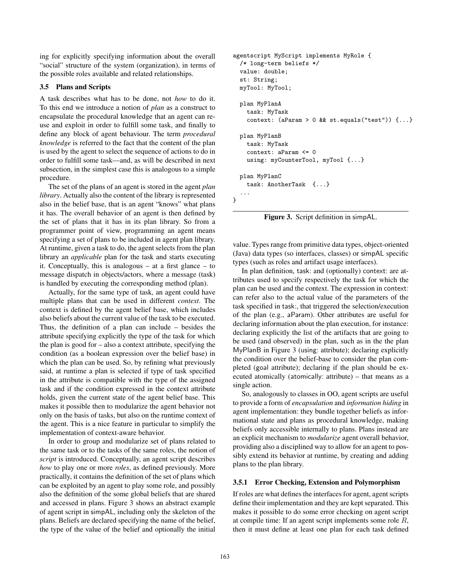ing for explicitly specifying information about the overall "social" structure of the system (organization), in terms of the possible roles available and related relationships.

## 3.5 Plans and Scripts

A task describes what has to be done, not *how* to do it. To this end we introduce a notion of *plan* as a construct to encapsulate the procedural knowledge that an agent can reuse and exploit in order to fulfill some task, and finally to define any block of agent behaviour. The term *procedural knowledge* is referred to the fact that the content of the plan is used by the agent to select the sequence of actions to do in order to fulfill some task—and, as will be described in next subsection, in the simplest case this is analogous to a simple procedure.

The set of the plans of an agent is stored in the agent *plan library*. Actually also the content of the library is represented also in the belief base, that is an agent "knows" what plans it has. The overall behavior of an agent is then defined by the set of plans that it has in its plan library. So from a programmer point of view, programming an agent means specifying a set of plans to be included in agent plan library. At runtime, given a task to do, the agent selects from the plan library an *applicable* plan for the task and starts executing it. Conceptually, this is analogous – at a first glance – to message dispatch in objects/actors, where a message (task) is handled by executing the corresponding method (plan).

Actually, for the same type of task, an agent could have multiple plans that can be used in different *context*. The context is defined by the agent belief base, which includes also beliefs about the current value of the task to be executed. Thus, the definition of a plan can include – besides the attribute specifying explicitly the type of the task for which the plan is good for – also a context attribute, specifying the condition (as a boolean expression over the belief base) in which the plan can be used. So, by refining what previously said, at runtime a plan is selected if type of task specified in the attribute is compatible with the type of the assigned task and if the condition expressed in the context attribute holds, given the current state of the agent belief base. This makes it possible then to modularize the agent behavior not only on the basis of tasks, but also on the runtime context of the agent. This is a nice feature in particular to simplify the implementation of context-aware behavior.

In order to group and modularize set of plans related to the same task or to the tasks of the same roles, the notion of *script* is introduced. Conceptually, an agent script describes *how* to play one or more *roles*, as defined previously. More practically, it contains the definition of the set of plans which can be exploited by an agent to play some role, and possibly also the definition of the some global beliefs that are shared and accessed in plans. Figure 3 shows an abstract example of agent script in simpAL, including only the skeleton of the plans. Beliefs are declared specifying the name of the belief, the type of the value of the belief and optionally the initial

```
agentscript MyScript implements MyRole {
  /* long-term beliefs */
  value: double;
  st: String;
  myTool: MyTool;
  plan MyPlanA
    task: MyTask
    context: (aParam > 0 && st.equals("test")) {...}
  plan MyPlanB
    task: MyTask
    context: aParam <= 0
    using: myCounterTool, myTool {...}
  plan MyPlanC
    task: AnotherTask {...}
  ...
}
```
Figure 3. Script definition in simpAL.

value. Types range from primitive data types, object-oriented (Java) data types (so interfaces, classes) or simpAL specific types (such as roles and artifact usage interfaces).

In plan definition, task: and (optionally) context: are attributes used to specify respectively the task for which the plan can be used and the context. The expression in context: can refer also to the actual value of the parameters of the task specified in task:, that triggered the selection/execution of the plan (e.g., aParam). Other attributes are useful for declaring information about the plan execution, for instance: declaring explicitly the list of the artifacts that are going to be used (and observed) in the plan, such as in the the plan MyPlanB in Figure 3 (using: attribute); declaring explicitly the condition over the belief-base to consider the plan completed (goal attribute); declaring if the plan should be executed atomically (atomically: attribute) – that means as a single action.

So, analogously to classes in OO, agent scripts are useful to provide a form of *encapsulation* and *information hiding* in agent implementation: they bundle together beliefs as informational state and plans as procedural knowledge, making beliefs only accessible internally to plans. Plans instead are an explicit mechanism to *modularize* agent overall behavior, providing also a disciplined way to allow for an agent to possibly extend its behavior at runtime, by creating and adding plans to the plan library.

## 3.5.1 Error Checking, Extension and Polymorphism

If roles are what defines the interfaces for agent, agent scripts define their implementation and they are kept separated. This makes it possible to do some error checking on agent script at compile time: If an agent script implements some role R, then it must define at least one plan for each task defined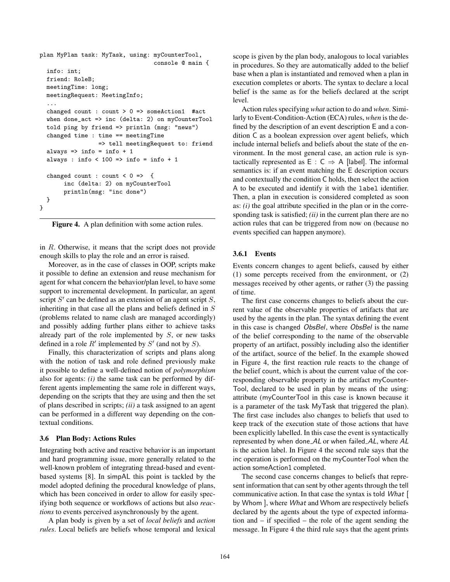```
plan MyPlan task: MyTask, using: myCounterTool,
                                  console @ main {
  info: int;
  friend: RoleB;
  meetingTime: long;
  meetingRequest: MeetingInfo;
  ...
  changed count : count > 0 => someAction1 #act
  when done_act => inc (delta: 2) on myCounterTool
  told ping by friend => println (msg: "news")
  changed time : time == meetingTime
                  => tell meetingRequest to: friend
  always \Rightarrow info = info + 1
  always : info < 100 \Rightarrow info = info + 1
  changed count : count < 0 => {
       inc (delta: 2) on myCounterTool
       println(msg: "inc done")
  }
}
```
Figure 4. A plan definition with some action rules.

in R. Otherwise, it means that the script does not provide enough skills to play the role and an error is raised.

Moreover, as in the case of classes in OOP, scripts make it possible to define an extension and reuse mechanism for agent for what concern the behavior/plan level, to have some support to incremental development. In particular, an agent script  $S'$  can be defined as an extension of an agent script  $S$ , inheriting in that case all the plans and beliefs defined in  $S$ (problems related to name clash are managed accordingly) and possibly adding further plans either to achieve tasks already part of the role implemented by  $S$ , or new tasks defined in a role  $R'$  implemented by  $S'$  (and not by  $S$ ).

Finally, this characterization of scripts and plans along with the notion of task and role defined previously make it possible to define a well-defined notion of *polymorphism* also for agents: *(i)* the same task can be performed by different agents implementing the same role in different ways, depending on the scripts that they are using and then the set of plans described in scripts; *(ii)* a task assigned to an agent can be performed in a different way depending on the contextual conditions.

## 3.6 Plan Body: Actions Rules

Integrating both active and reactive behavior is an important and hard programming issue, more generally related to the well-known problem of integrating thread-based and eventbased systems [8]. In simpAL this point is tackled by the model adopted defining the procedural knowledge of plans, which has been conceived in order to allow for easily specifying both sequence or workflows of actions but also *reactions* to events perceived asynchronously by the agent.

A plan body is given by a set of *local beliefs* and *action rules*. Local beliefs are beliefs whose temporal and lexical

scope is given by the plan body, analogous to local variables in procedures. So they are automatically added to the belief base when a plan is instantiated and removed when a plan in execution completes or aborts. The syntax to declare a local belief is the same as for the beliefs declared at the script level.

Action rules specifying *what* action to do and *when*. Similarly to Event-Condition-Action (ECA) rules, *when* is the defined by the description of an event description E and a condition C as a boolean expression over agent beliefs, which include internal beliefs and beliefs about the state of the environment. In the most general case, an action rule is syntactically represented as  $E : C \Rightarrow A$  [label]. The informal semantics is: if an event matching the E description occurs and contextually the condition C holds, then select the action A to be executed and identify it with the label identifier. Then, a plan in execution is considered completed as soon as: *(i)* the goal attribute specified in the plan or in the corresponding task is satisfied; *(ii)* in the current plan there are no action rules that can be triggered from now on (because no events specified can happen anymore).

#### 3.6.1 Events

Events concern changes to agent beliefs, caused by either (1) some percepts received from the environment, or (2) messages received by other agents, or rather (3) the passing of time.

The first case concerns changes to beliefs about the current value of the observable properties of artifacts that are used by the agents in the plan. The syntax defining the event in this case is changed *ObsBel*, where *ObsBel* is the name of the belief corresponding to the name of the observable property of an artifact, possibly including also the identifier of the artifact, source of the belief. In the example showed in Figure 4, the first reaction rule reacts to the change of the belief count, which is about the current value of the corresponding observable property in the artifact myCounter-Tool, declared to be used in plan by means of the using: attribute (myCounterTool in this case is known because it is a parameter of the task MyTask that triggered the plan). The first case includes also changes to beliefs that used to keep track of the execution state of those actions that have been explicitly labelled. In this case the event is syntactically represented by when done AL or when failed AL, where AL is the action label. In Figure 4 the second rule says that the inc operation is performed on the myCounterTool when the action someAction1 completed.

The second case concerns changes to beliefs that represent information that can sent by other agents through the tell communicative action. In that case the syntax is told What [ by Whom ], where What and Whom are respectively beliefs declared by the agents about the type of expected information and – if specified – the role of the agent sending the message. In Figure 4 the third rule says that the agent prints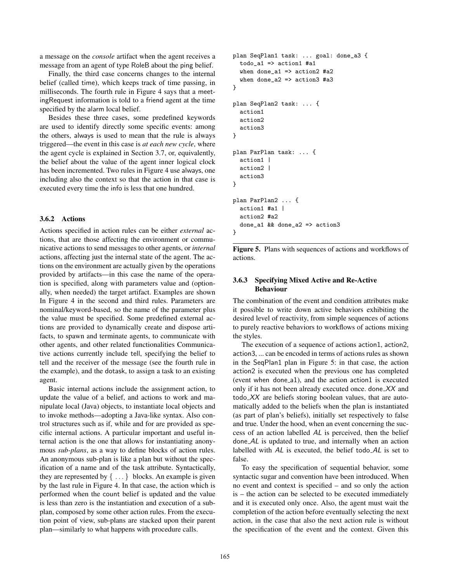a message on the *console* artifact when the agent receives a message from an agent of type RoleB about the ping belief.

Finally, the third case concerns changes to the internal belief (called time), which keeps track of time passing, in milliseconds. The fourth rule in Figure 4 says that a meetingRequest information is told to a friend agent at the time specified by the alarm local belief.

Besides these three cases, some predefined keywords are used to identify directly some specific events: among the others, always is used to mean that the rule is always triggered—the event in this case is *at each new cycle*, where the agent cycle is explained in Section 3.7, or, equivalently, the belief about the value of the agent inner logical clock has been incremented. Two rules in Figure 4 use always, one including also the context so that the action in that case is executed every time the info is less that one hundred.

#### 3.6.2 Actions

Actions specified in action rules can be either *external* actions, that are those affecting the environment or communicative actions to send messages to other agents, or *internal* actions, affecting just the internal state of the agent. The actions on the environment are actually given by the operations provided by artifacts—in this case the name of the operation is specified, along with parameters value and (optionally, when needed) the target artifact. Examples are shown In Figure 4 in the second and third rules. Parameters are nominal/keyword-based, so the name of the parameter plus the value must be specified. Some predefined external actions are provided to dynamically create and dispose artifacts, to spawn and terminate agents, to communicate with other agents, and other related functionalities Communicative actions currently include tell, specifying the belief to tell and the receiver of the message (see the fourth rule in the example), and the dotask, to assign a task to an existing agent.

Basic internal actions include the assignment action, to update the value of a belief, and actions to work and manipulate local (Java) objects, to instantiate local objects and to invoke methods—adopting a Java-like syntax. Also control structures such as if, while and for are provided as specific internal actions. A particular important and useful internal action is the one that allows for instantiating anonymous *sub-plans*, as a way to define blocks of action rules. An anonymous sub-plan is like a plan but without the specification of a name and of the task attribute. Syntactically, they are represented by  $\{ \dots \}$  blocks. An example is given by the last rule in Figure 4. In that case, the action which is performed when the count belief is updated and the value is less than zero is the instantiation and execution of a subplan, composed by some other action rules. From the execution point of view, sub-plans are stacked upon their parent plan—similarly to what happens with procedure calls.

```
plan SeqPlan1 task: ... goal: done_a3 {
  todo_a1 \Rightarrow action1 \#a1when done_a1 => action2 #a2
  when done_a2 => action3 #a3
}
plan SeqPlan2 task: ... {
  action1
  action2
  action3
}
plan ParPlan task: ... {
  action1 |
  action2 |
  action3
}
plan ParPlan2 ... {
  action1 #a1 |
  action2 #a2
  done_a1 && done_a2 => action3
}
```
Figure 5. Plans with sequences of actions and workflows of actions.

## 3.6.3 Specifying Mixed Active and Re-Active Behaviour

The combination of the event and condition attributes make it possible to write down active behaviors exhibiting the desired level of reactivity, from simple sequences of actions to purely reactive behaviors to workflows of actions mixing the styles.

The execution of a sequence of actions action1, action2, action3, ... can be encoded in terms of actions rules as shown in the SeqPlan1 plan in Figure 5: in that case, the action action2 is executed when the previous one has completed (event when done\_a1), and the action action1 is executed only if it has not been already executed once. done XX and todo XX are beliefs storing boolean values, that are automatically added to the beliefs when the plan is instantiated (as part of plan's beliefs), initially set respectively to false and true. Under the hood, when an event concerning the success of an action labelled AL is perceived, then the belief done AL is updated to true, and internally when an action labelled with AL is executed, the belief todo AL is set to false.

To easy the specification of sequential behavior, some syntactic sugar and convention have been introduced. When no event and context is specified – and so only the action is – the action can be selected to be executed immediately and it is executed only once. Also, the agent must wait the completion of the action before eventually selecting the next action, in the case that also the next action rule is without the specification of the event and the context. Given this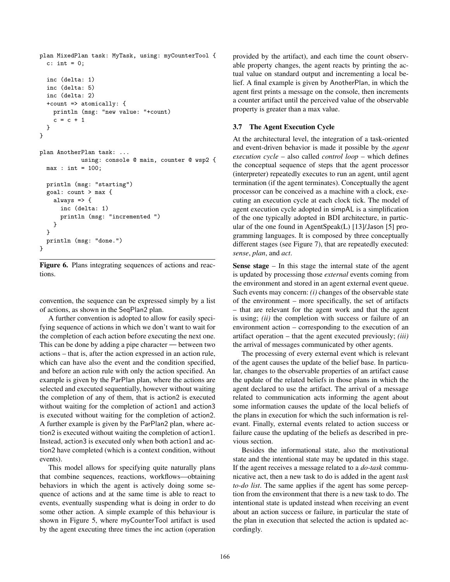```
plan MixedPlan task: MyTask, using: myCounterTool {
  c: \text{int} = 0;
  inc (delta: 1)
  inc (delta: 5)
  inc (delta: 2)
  +count => atomically: {
    println (msg: "new value: "+count)
    c = c + 1}
}
plan AnotherPlan task: ...
            using: console @ main, counter @ wsp2 {
  max: int = 100;println (msg: "starting")
  goal: count > max {
    always \Rightarrow {
      inc (delta: 1)
      println (msg: "incremented ")
    }
  }
  println (msg: "done.")
}
```
Figure 6. Plans integrating sequences of actions and reactions.

convention, the sequence can be expressed simply by a list of actions, as shown in the SeqPlan2 plan.

A further convention is adopted to allow for easily specifying sequence of actions in which we don't want to wait for the completion of each action before executing the next one. This can be done by adding a pipe character — between two actions – that is, after the action expressed in an action rule, which can have also the event and the condition specified, and before an action rule with only the action specified. An example is given by the ParPlan plan, where the actions are selected and executed sequentially, however without waiting the completion of any of them, that is action2 is executed without waiting for the completion of action1 and action3 is executed without waiting for the completion of action2. A further example is given by the ParPlan2 plan, where action2 is executed without waiting the completion of action1. Instead, action3 is executed only when both action1 and action2 have completed (which is a context condition, without events).

This model allows for specifying quite naturally plans that combine sequences, reactions, workflows—obtaining behaviors in which the agent is actively doing some sequence of actions and at the same time is able to react to events, eventually suspending what is doing in order to do some other action. A simple example of this behaviour is shown in Figure 5, where myCounterTool artifact is used by the agent executing three times the inc action (operation provided by the artifact), and each time the count observable property changes, the agent reacts by printing the actual value on standard output and incrementing a local belief. A final example is given by AnotherPlan, in which the agent first prints a message on the console, then increments a counter artifact until the perceived value of the observable property is greater than a max value.

#### 3.7 The Agent Execution Cycle

At the architectural level, the integration of a task-oriented and event-driven behavior is made it possible by the *agent execution cycle* – also called *control loop* – which defines the conceptual sequence of steps that the agent processor (interpreter) repeatedly executes to run an agent, until agent termination (if the agent terminates). Conceptually the agent processor can be conceived as a machine with a clock, executing an execution cycle at each clock tick. The model of agent execution cycle adopted in simpAL is a simplification of the one typically adopted in BDI architecture, in particular of the one found in AgentSpeak(L) [13]/Jason [5] programming languages. It is composed by three conceptually different stages (see Figure 7), that are repeatedly executed: *sense*, *plan*, and *act*.

Sense stage – In this stage the internal state of the agent is updated by processing those *external* events coming from the environment and stored in an agent external event queue. Such events may concern: *(i)* changes of the observable state of the environment – more specifically, the set of artifacts – that are relevant for the agent work and that the agent is using; *(ii)* the completion with success or failure of an environment action – corresponding to the execution of an artifact operation – that the agent executed previously; *(iii)* the arrival of messages communicated by other agents.

The processing of every external event which is relevant of the agent causes the update of the belief base. In particular, changes to the observable properties of an artifact cause the update of the related beliefs in those plans in which the agent declared to use the artifact. The arrival of a message related to communication acts informing the agent about some information causes the update of the local beliefs of the plans in execution for which the such information is relevant. Finally, external events related to action success or failure cause the updating of the beliefs as described in previous section.

Besides the informational state, also the motivational state and the intentional state may be updated in this stage. If the agent receives a message related to a *do-task* communicative act, then a new task to do is added in the agent *task to-do list*. The same applies if the agent has some perception from the environment that there is a new task to do. The intentional state is updated instead when receiving an event about an action success or failure, in particular the state of the plan in execution that selected the action is updated accordingly.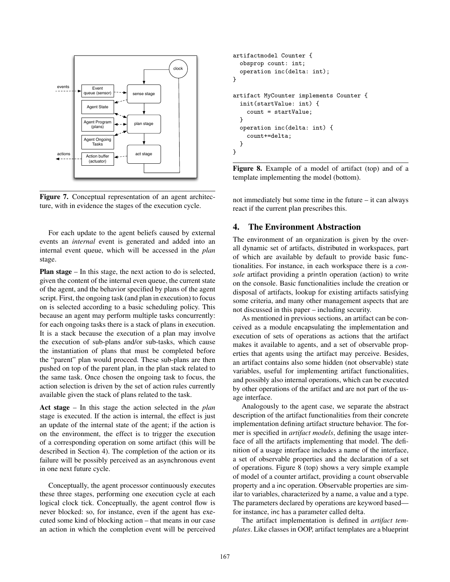

Figure 7. Conceptual representation of an agent architecture, with in evidence the stages of the execution cycle.

For each update to the agent beliefs caused by external events an *internal* event is generated and added into an internal event queue, which will be accessed in the *plan* stage.

Plan stage – In this stage, the next action to do is selected, given the content of the internal even queue, the current state of the agent, and the behavior specified by plans of the agent script. First, the ongoing task (and plan in execution) to focus on is selected according to a basic scheduling policy. This because an agent may perform multiple tasks concurrently: for each ongoing tasks there is a stack of plans in execution. It is a stack because the execution of a plan may involve the execution of sub-plans and/or sub-tasks, which cause the instantiation of plans that must be completed before the "parent" plan would proceed. These sub-plans are then pushed on top of the parent plan, in the plan stack related to the same task. Once chosen the ongoing task to focus, the action selection is driven by the set of action rules currently available given the stack of plans related to the task.

Act stage – In this stage the action selected in the *plan* stage is executed. If the action is internal, the effect is just an update of the internal state of the agent; if the action is on the environment, the effect is to trigger the execution of a corresponding operation on some artifact (this will be described in Section 4). The completion of the action or its failure will be possibly perceived as an asynchronous event in one next future cycle.

Conceptually, the agent processor continuously executes these three stages, performing one execution cycle at each logical clock tick. Conceptually, the agent control flow is never blocked: so, for instance, even if the agent has executed some kind of blocking action – that means in our case an action in which the completion event will be perceived

```
artifactmodel Counter {
  obsprop count: int;
  operation inc(delta: int);
}
artifact MyCounter implements Counter {
  init(startValue: int) {
    count = startValue;
  }
  operation inc(delta: int) {
    count+=delta;
  }
}
```
Figure 8. Example of a model of artifact (top) and of a template implementing the model (bottom).

not immediately but some time in the future – it can always react if the current plan prescribes this.

## 4. The Environment Abstraction

The environment of an organization is given by the overall dynamic set of artifacts, distributed in workspaces, part of which are available by default to provide basic functionalities. For instance, in each workspace there is a *console* artifact providing a println operation (action) to write on the console. Basic functionalities include the creation or disposal of artifacts, lookup for existing artifacts satisfying some criteria, and many other management aspects that are not discussed in this paper – including security.

As mentioned in previous sections, an artifact can be conceived as a module encapsulating the implementation and execution of sets of operations as actions that the artifact makes it available to agents, and a set of observable properties that agents using the artifact may perceive. Besides, an artifact contains also some hidden (not observable) state variables, useful for implementing artifact functionalities, and possibly also internal operations, which can be executed by other operations of the artifact and are not part of the usage interface.

Analogously to the agent case, we separate the abstract description of the artifact functionalities from their concrete implementation defining artifact structure behavior. The former is specified in *artifact models*, defining the usage interface of all the artifacts implementing that model. The definition of a usage interface includes a name of the interface, a set of observable properties and the declaration of a set of operations. Figure 8 (top) shows a very simple example of model of a counter artifact, providing a count observable property and a inc operation. Observable properties are similar to variables, characterized by a name, a value and a type. The parameters declared by operations are keyword based for instance, inc has a parameter called delta.

The artifact implementation is defined in *artifact templates*. Like classes in OOP, artifact templates are a blueprint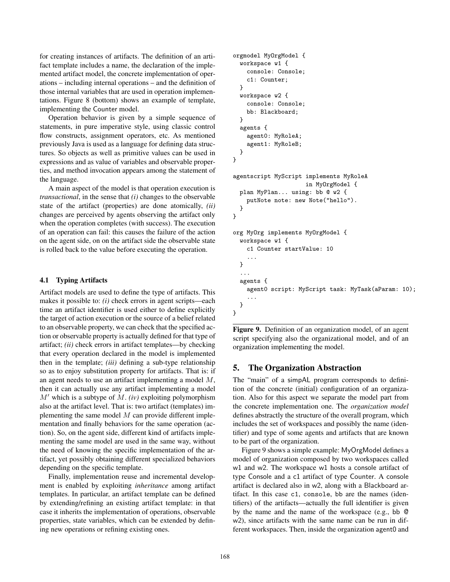for creating instances of artifacts. The definition of an artifact template includes a name, the declaration of the implemented artifact model, the concrete implementation of operations – including internal operations – and the definition of those internal variables that are used in operation implementations. Figure 8 (bottom) shows an example of template, implementing the Counter model.

Operation behavior is given by a simple sequence of statements, in pure imperative style, using classic control flow constructs, assignment operators, etc. As mentioned previously Java is used as a language for defining data structures. So objects as well as primitive values can be used in expressions and as value of variables and observable properties, and method invocation appears among the statement of the language.

A main aspect of the model is that operation execution is *transactional*, in the sense that *(i)* changes to the observable state of the artifact (properties) are done atomically, *(ii)* changes are perceived by agents observing the artifact only when the operation completes (with success). The execution of an operation can fail: this causes the failure of the action on the agent side, on on the artifact side the observable state is rolled back to the value before executing the operation.

## 4.1 Typing Artifacts

Artifact models are used to define the type of artifacts. This makes it possible to: *(i)* check errors in agent scripts—each time an artifact identifier is used either to define explicitly the target of action execution or the source of a belief related to an observable property, we can check that the specified action or observable property is actually defined for that type of artifact; *(ii)* check errors in artifact templates—by checking that every operation declared in the model is implemented then in the template; *(iii)* defining a sub-type relationship so as to enjoy substitution property for artifacts. That is: if an agent needs to use an artifact implementing a model M, then it can actually use any artifact implementing a model  $M'$  which is a subtype of M. *(iv)* exploiting polymorphism also at the artifact level. That is: two artifact (templates) implementing the same model  $M$  can provide different implementation and finally behaviors for the same operation (action). So, on the agent side, different kind of artifacts implementing the same model are used in the same way, without the need of knowing the specific implementation of the artifact, yet possibly obtaining different specialized behaviors depending on the specific template.

Finally, implementation reuse and incremental development is enabled by exploiting *inheritance* among artifact templates. In particular, an artifact template can be defined by extending/refining an existing artifact template: in that case it inherits the implementation of operations, observable properties, state variables, which can be extended by defining new operations or refining existing ones.

```
orgmodel MyOrgModel {
  workspace w1 {
    console: Console;
    c1: Counter;
  }
  workspace w2 {
    console: Console;
    bb: Blackboard;
  }
  agents {
    agent0: MyRoleA;
    agent1: MyRoleB;
  }
}
agentscript MyScript implements MyRoleA
                      in MyOrgModel {
  plan MyPlan... using: bb @ w2 {
    putNote note: new Note("hello").
  }
}
org MyOrg implements MyOrgModel {
  workspace w1 {
    c1 Counter startValue: 10
    ...
  }
  ...
  agents {
    agent0 script: MyScript task: MyTask(aParam: 10);
    ...
  }
}
```
Figure 9. Definition of an organization model, of an agent script specifying also the organizational model, and of an organization implementing the model.

## 5. The Organization Abstraction

The "main" of a simpAL program corresponds to definition of the concrete (initial) configuration of an organization. Also for this aspect we separate the model part from the concrete implementation one. The *organization model* defines abstractly the structure of the overall program, which includes the set of workspaces and possibly the name (identifier) and type of some agents and artifacts that are known to be part of the organization.

Figure 9 shows a simple example: MyOrgModel defines a model of organization composed by two workspaces called w1 and w2. The workspace w1 hosts a console artifact of type Console and a c1 artifact of type Counter. A console artifact is declared also in w2, along with a Blackboard artifact. In this case c1, console, bb are the names (identifiers) of the artifacts—actually the full identifier is given by the name and the name of the workspace (e.g., bb @ w2), since artifacts with the same name can be run in different workspaces. Then, inside the organization agent0 and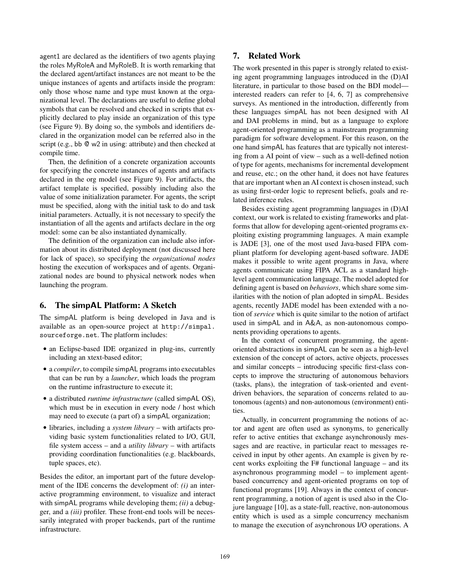agent1 are declared as the identifiers of two agents playing the roles MyRoleA and MyRoleB. It is worth remarking that the declared agent/artifact instances are not meant to be the unique instances of agents and artifacts inside the program: only those whose name and type must known at the organizational level. The declarations are useful to define global symbols that can be resolved and checked in scripts that explicitly declared to play inside an organization of this type (see Figure 9). By doing so, the symbols and identifiers declared in the organization model can be referred also in the script (e.g., bb  $\oslash$  w2 in using: attribute) and then checked at compile time.

Then, the definition of a concrete organization accounts for specifying the concrete instances of agents and artifacts declared in the org model (see Figure 9). For artifacts, the artifact template is specified, possibly including also the value of some initialization parameter. For agents, the script must be specified, along with the initial task to do and task initial parameters. Actually, it is not necessary to specify the instantiation of all the agents and artifacts declare in the org model: some can be also instantiated dynamically.

The definition of the organization can include also information about its distributed deployment (not discussed here for lack of space), so specifying the *organizational nodes* hosting the execution of workspaces and of agents. Organizational nodes are bound to physical network nodes when launching the program.

## 6. The simpAL Platform: A Sketch

The simpAL platform is being developed in Java and is available as an open-source project at http://simpal. sourceforge.net. The platform includes:

- an Eclipse-based IDE organized in plug-ins, currently including an xtext-based editor;
- a *compiler*, to compile simpAL programs into executables that can be run by a *launcher*, which loads the program on the runtime infrastructure to execute it;
- a distributed *runtime infrastructure* (called simpAL OS), which must be in execution in every node / host which may need to execute (a part of) a simpAL organization;
- libraries, including a *system library* with artifacts providing basic system functionalities related to I/O, GUI, file system access – and a *utility library* – with artifacts providing coordination functionalities (e.g. blackboards, tuple spaces, etc).

Besides the editor, an important part of the future development of the IDE concerns the development of: *(i)* an interactive programming environment, to visualize and interact with simpAL programs while developing them; *(ii)* a debugger, and a *(iii)* profiler. These front-end tools will be necessarily integrated with proper backends, part of the runtime infrastructure.

# 7. Related Work

The work presented in this paper is strongly related to existing agent programming languages introduced in the (D)AI literature, in particular to those based on the BDI model interested readers can refer to [4, 6, 7] as comprehensive surveys. As mentioned in the introduction, differently from these languages simpAL has not been designed with AI and DAI problems in mind, but as a language to explore agent-oriented programming as a mainstream programming paradigm for software development. For this reason, on the one hand simpAL has features that are typically not interesting from a AI point of view – such as a well-defined notion of type for agents, mechanisms for incremental development and reuse, etc.; on the other hand, it does not have features that are important when an AI context is chosen instead, such as using first-order logic to represent beliefs, goals and related inference rules.

Besides existing agent programming languages in (D)AI context, our work is related to existing frameworks and platforms that allow for developing agent-oriented programs exploiting existing programming languages. A main example is JADE [3], one of the most used Java-based FIPA compliant platform for developing agent-based software. JADE makes it possible to write agent programs in Java, where agents communicate using FIPA ACL as a standard highlevel agent communication language. The model adopted for defining agent is based on *behaviors*, which share some similarities with the notion of plan adopted in simpAL. Besides agents, recently JADE model has been extended with a notion of *service* which is quite similar to the notion of artifact used in simpAL and in A&A, as non-autonomous components providing operations to agents.

In the context of concurrent programming, the agentoriented abstractions in simpAL can be seen as a high-level extension of the concept of actors, active objects, processes and similar concepts – introducing specific first-class concepts to improve the structuring of autonomous behaviors (tasks, plans), the integration of task-oriented and eventdriven behaviors, the separation of concerns related to autonomous (agents) and non-autonomous (environment) entities.

Actually, in concurrent programming the notions of actor and agent are often used as synonyms, to generically refer to active entities that exchange asynchronously messages and are reactive, in particular react to messages received in input by other agents. An example is given by recent works exploiting the F# functional language – and its asynchronous programming model – to implement agentbased concurrency and agent-oriented programs on top of functional programs [19]. Always in the context of concurrent programming, a notion of agent is used also in the Clojure language [10], as a state-full, reactive, non-autonomous entity which is used as a simple concurrency mechanism to manage the execution of asynchronous I/O operations. A